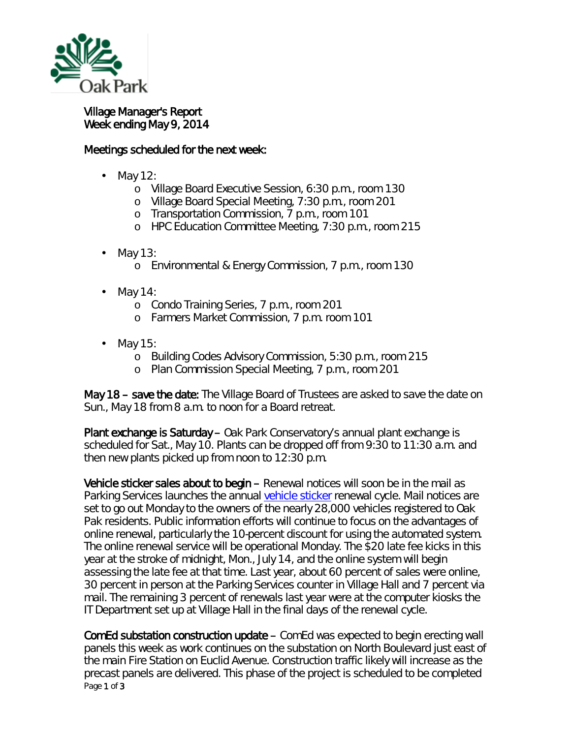

## Village Manager's Report Week ending May 9, 2014

## Meetings scheduled for the next week:

- May 12:
	- o Village Board Executive Session, 6:30 p.m., room 130
	- o Village Board Special Meeting, 7:30 p.m., room 201
	- o Transportation Commission, 7 p.m., room 101
	- o HPC Education Committee Meeting, 7:30 p.m., room 215
- ä, May 13:
	- o Environmental & Energy Commission, 7 p.m., room 130
- May 14:
	- o Condo Training Series, 7 p.m., room 201
	- o Farmers Market Commission, 7 p.m. room 101
- May 15:
	- o Building Codes Advisory Commission, 5:30 p.m., room 215
	- o Plan Commission Special Meeting, 7 p.m., room 201

May 18 – save the date: The Village Board of Trustees are asked to save the date on Sun., May 18 from 8 a.m. to noon for a Board retreat.

Plant exchange is Saturday – Oak Park Conservatory's annual plant exchange is scheduled for Sat., May 10. Plants can be dropped off from 9:30 to 11:30 a.m. and then new plants picked up from noon to 12:30 p.m.

Vehicle sticker sales about to begin – Renewal notices will soon be in the mail as Parking Services launches the annual [vehicle sticker](http://www.oak-park.us/village-services/parking/vehicle-stickers) renewal cycle. Mail notices are set to go out Monday to the owners of the nearly 28,000 vehicles registered to Oak Pak residents. Public information efforts will continue to focus on the advantages of online renewal, particularly the 10-percent discount for using the automated system. The online renewal service will be operational Monday. The \$20 late fee kicks in this year at the stroke of midnight, Mon., July 14, and the online system will begin assessing the late fee at that time. Last year, about 60 percent of sales were online, 30 percent in person at the Parking Services counter in Village Hall and 7 percent via mail. The remaining 3 percent of renewals last year were at the computer kiosks the IT Department set up at Village Hall in the final days of the renewal cycle.

Page 1 of 3 ComEd substation construction update – ComEd was expected to begin erecting wall panels this week as work continues on the substation on North Boulevard just east of the main Fire Station on Euclid Avenue. Construction traffic likely will increase as the precast panels are delivered. This phase of the project is scheduled to be completed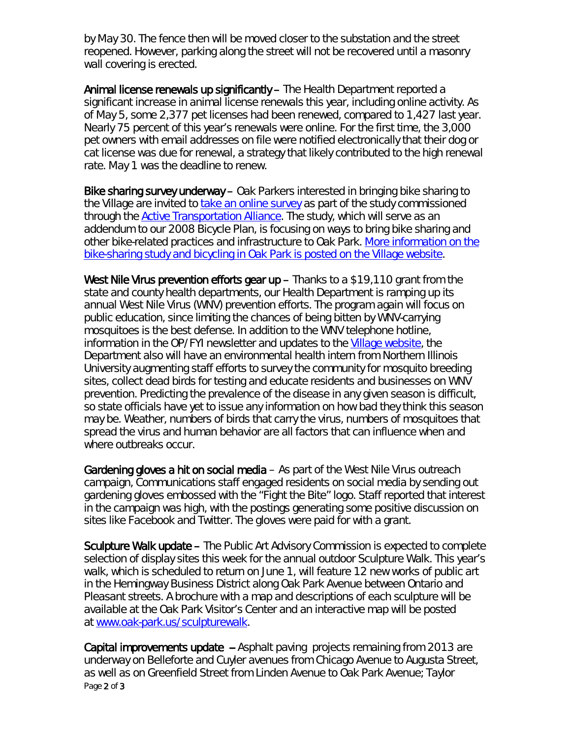by May 30. The fence then will be moved closer to the substation and the street reopened. However, parking along the street will not be recovered until a masonry wall covering is erected.

Animal license renewals up significantly – The Health Department reported a significant increase in animal license renewals this year, including online activity. As of May 5, some 2,377 pet licenses had been renewed, compared to 1,427 last year. Nearly 75 percent of this year's renewals were online. For the first time, the 3,000 pet owners with email addresses on file were notified electronically that their dog or cat license was due for renewal, a strategy that likely contributed to the high renewal rate. May 1 was the deadline to renew.

Bike sharing survey underway – Oak Parkers interested in bringing bike sharing to the Village are invited to [take an online survey](http://r20.rs6.net/tn.jsp?e=001ehQByIv6k3qF1KO-EIpeONM-geFZKHKJXDfoHNXTnhaGC2W4UHO1K9FO3C2t4aQrylTof2kIm45200aqOyIaF5lAbKJe0OsPDvZ3unn95-e2ETSGTh8YSDwaM7ANKBpDRFzqvz5GPkk=) as part of the study commissioned through the [Active Transportation Alliance.](http://r20.rs6.net/tn.jsp?e=001ehQByIv6k3qF1KO-EIpeONM-geFZKHKJXDfoHNXTnhaGC2W4UHO1K9FO3C2t4aQr6_pAPc-3rl6FTCVlJLvWPV2bMvv_lcee2RjAjTxX8rX2PC66jxAFTA==) The study, which will serve as an addendum to our 2008 Bicycle Plan, is focusing on ways to bring bike sharing and other bike-related practices and infrastructure to Oak Park. [More information on the](http://www.oak-park.us/our-community/bicycling-oak-park)  [bike-sharing study and bicycling in Oak Park is posted on the Village website.](http://www.oak-park.us/our-community/bicycling-oak-park)

West Nile Virus prevention efforts gear  $up$  – Thanks to a \$19,110 grant from the state and county health departments, our Health Department is ramping up its annual West Nile Virus (WNV) prevention efforts. The program again will focus on public education, since limiting the chances of being bitten by WNV-carrying mosquitoes is the best defense. In addition to the WNV telephone hotline, information in the *OP/FYI* newsletter and updates to the [Village website,](http://www.oak-park.us/village-services/health-department/west-nile-virus) the Department also will have an environmental health intern from Northern Illinois University augmenting staff efforts to survey the community for mosquito breeding sites, collect dead birds for testing and educate residents and businesses on WNV prevention. Predicting the prevalence of the disease in any given season is difficult, so state officials have yet to issue any information on how bad they think this season may be. Weather, numbers of birds that carry the virus, numbers of mosquitoes that spread the virus and human behavior are all factors that can influence when and where outbreaks occur.

Gardening gloves a hit on social media - As part of the West Nile Virus outreach campaign, Communications staff engaged residents on social media by sending out gardening gloves embossed with the "Fight the Bite" logo. Staff reported that interest in the campaign was high, with the postings generating some positive discussion on sites like Facebook and Twitter. The gloves were paid for with a grant.

Sculpture Walk update – The Public Art Advisory Commission is expected to complete selection of display sites this week for the annual outdoor Sculpture Walk. This year's walk, which is scheduled to return on June 1, will feature 12 new works of public art in the Hemingway Business District along Oak Park Avenue between Ontario and Pleasant streets. A brochure with a map and descriptions of each sculpture will be available at the Oak Park Visitor's Center and an interactive map will be posted at [www.oak-park.us/sculpturewalk.](http://www.oak-park.us/sculpturewalk)

Page 2 of 3 Capital improvements update -- Asphalt paving projects remaining from 2013 are underway on Belleforte and Cuyler avenues from Chicago Avenue to Augusta Street, as well as on Greenfield Street from Linden Avenue to Oak Park Avenue; Taylor